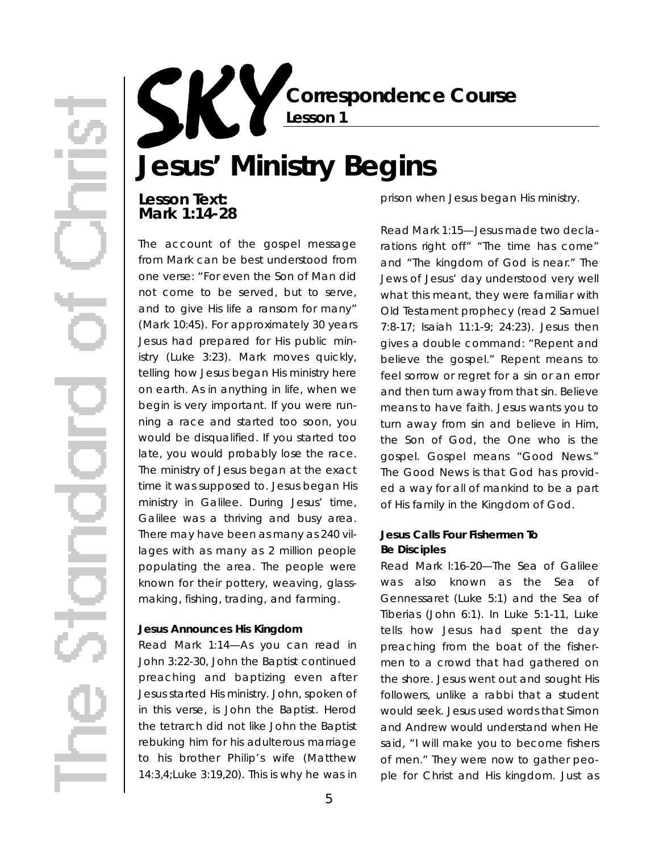**Correspondence Course Lesson 1**

# **Jesus' Ministry Begins**

# **Lesson Text: Mark 1:14-28**

The account of the gospel message from Mark can be best understood from one verse: "For even the Son of Man did not come to be served, but to serve, and to give His life a ransom for many" (Mark 10:45). For approximately 30 years Jesus had prepared for His public ministry (Luke 3:23). Mark moves quickly, telling how Jesus began His ministry here on earth. As in anything in life, *when* we begin is very important. If you were running a race and started too soon, you would be disqualified. If you started too late, you would probably lose the race. The ministry of Jesus began at the exact time it was supposed to. Jesus began His ministry in Galilee. During Jesus' time, Galilee was a thriving and busy area. There may have been as many as 240 villages with as many as 2 million people populating the area. The people were known for their pottery, weaving, glassmaking, fishing, trading, and farming.

### **Jesus Announces His Kingdom**

*Read Mark 1:14*—As you can read in John 3:22-30, John the Baptist continued preaching and baptizing even after Jesus started His ministry. John, spoken of in this verse, is John the Baptist. Herod the tetrarch did not like John the Baptist rebuking him for his adulterous marriage to his brother Philip's wife (Matthew 14:3,4;Luke 3:19,20). This is why he was in

prison when Jesus began His ministry.

*Read Mark 1:15*—Jesus made two declarations right off" "The time has come" and "The kingdom of God is near." The Jews of Jesus' day understood very well what this meant, they were familiar with Old Testament prophecy (read 2 Samuel 7:8-17; Isaiah 11:1-9; 24:23). Jesus then gives a double command: "Repent and believe the gospel." Repent means to feel sorrow or regret for a sin or an error and then turn away from that sin. *Believe* means to have faith. Jesus wants you to turn away from sin and believe in Him, the Son of God, the One who is the gospel. *Gospel* means "Good News." The Good News is that God has provided a way for all of mankind to be a part of His family in the Kingdom of God.

## **Jesus Calls Four Fishermen To Be Disciples**

*Read Mark l:16-20*—The Sea of Galilee was also known as the Sea of Gennessaret (Luke 5:1) and the Sea of Tiberias (John 6:1). In Luke 5:1-11, Luke tells how Jesus had spent the day preaching from the boat of the fishermen to a crowd that had gathered on the shore. Jesus went out and sought His followers, unlike a rabbi that a student would seek. Jesus used words that Simon and Andrew would understand when He said, "I will make you to become fishers of men." They were now to gather people for Christ and His kingdom. Just as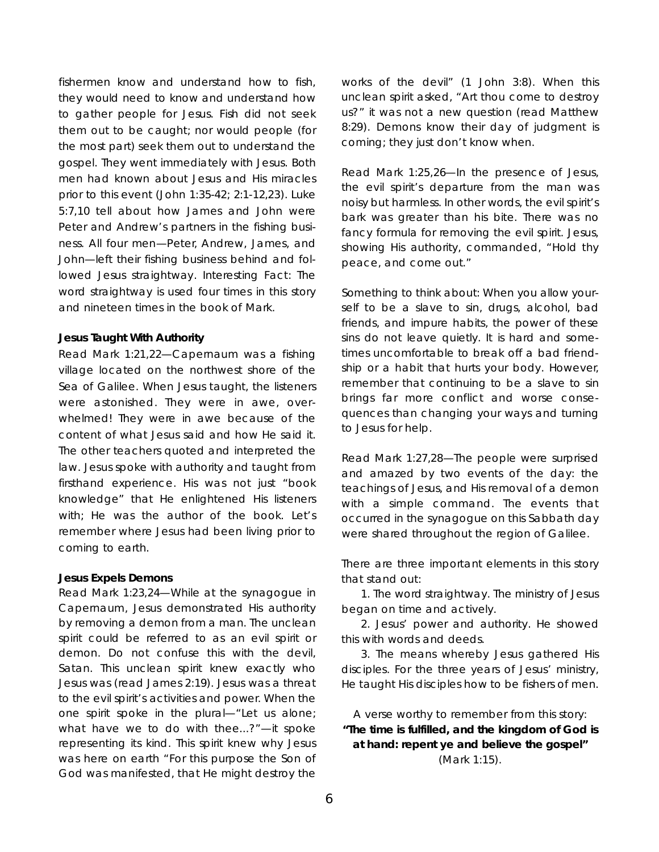fishermen know and understand how to fish, they would need to know and understand how to gather people for Jesus. Fish did not seek them out to be caught; nor would people (for the most part) seek them out to understand the gospel. They went immediately with Jesus. Both men had known about Jesus and His miracles prior to this event (John 1:35-42; 2:1-12,23). Luke 5:7,10 tell about how James and John were Peter and Andrew's partners in the fishing business. All four men—Peter, Andrew, James, and John—left their fishing business behind and followed Jesus straightway. Interesting Fact: The word *straightway* is used four times in this story and nineteen times in the book of Mark.

### **Jesus Taught With Authority**

*Read Mark 1:21,22*— Capernaum was a fishing village located on the northwest shore of the Sea of Galilee. When Jesus taught, the listeners were astonished. They were in awe, overwhelmed! They were in awe because of the content of what Jesus said and how He said it. The other teachers quoted and interpreted the law. Jesus spoke with authority and taught from firsthand experience. His was not just "book knowledge" that He enlightened His listeners with; He was the *author* of the book. Let's remember where Jesus had been living prior to coming to earth.

#### **Jesus Expels Demons**

*Read Mark 1:23,24*—While at the synagogue in Capernaum, Jesus demonstrated His authority by removing a demon from a man. The unclean spirit could be referred to as an evil spirit or demon. Do not confuse this with the devil, Satan. This unclean spirit knew exactly who Jesus was (read James 2:19). Jesus was a threat to the evil spirit's activities and power. When the one spirit spoke in the plural—"Let us alone; what have *we* to do with thee...?"—it spoke representing its kind. This spirit knew why Jesus was here on earth "For this purpose the Son of God was manifested, that He might destroy the

works of the devil" (1 John 3:8). When this unclean spirit asked, "Art thou come to destroy us?" it was not a new question (read Matthew 8:29). Demons know their day of judgment is coming; they just don't know when.

*Read Mark 1:25,26*—In the presence of Jesus, the evil spirit's departure from the man was noisy but harmless. In other words, the evil spirit's bark was greater than his bite. There was no fancy formula for removing the evil spirit. Jesus, showing His authority, commanded, "Hold thy peace, and come out."

Something to think about: When you allow yourself to be a slave to sin, drugs, alcohol, bad friends, and impure habits, the power of these sins do not leave quietly. It is hard and sometimes uncomfortable to break off a bad friendship or a habit that hurts your body. However, remember that continuing to be a slave to sin brings far more conflict and worse consequences than changing your ways and turning to Jesus for help.

*Read Mark 1:27,28*—The people were surprised and amazed by two events of the day: the teachings of Jesus, and His removal of a demon with a simple command. The events that occurred in the synagogue on this Sabbath day were shared throughout the region of Galilee.

There are *three* important elements in this story that stand out:

1. The word *straightway*. The ministry of Jesus began on time and actively.

2. Jesus' power and authority. He showed this with words and deeds.

3. The means whereby Jesus gathered His disciples. For the three years of Jesus' ministry, He taught His disciples how to be fishers of men.

A verse worthy to remember from this story: **"The time is fulfilled, and the kingdom of God is at hand: repent ye and believe the gospel"** (Mark 1:15).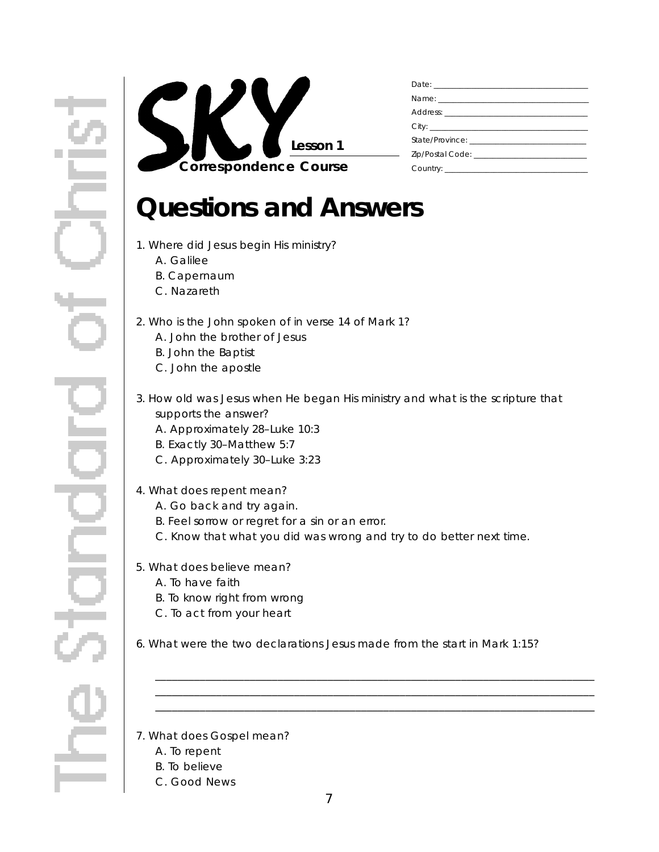

# **Questions and Answers**

- 1. Where did Jesus begin His ministry?
	- A. Galilee
	- B. Capernaum
	- C. Nazareth
- 2. Who is the John spoken of in verse 14 of Mark 1?
	- A. John the brother of Jesus
	- B. John the Baptist
	- C. John the apostle
- 3. How old was Jesus when He began His ministry and what is the scripture that supports the answer?
	- A. Approximately 28–Luke 10:3
	- B. Exactly 30–Matthew 5:7
	- C. Approximately 30–Luke 3:23

## 4. What does *repent* mean?

- A. Go back and try again.
- B. Feel sorrow or regret for a sin or an error.
- C. Know that what you did was wrong and try to do better next time.
- 5. What does *believe* mean?
	- A. To have faith
	- B. To know right from wrong
	- C. To act from your heart
- 6. What were the two declarations Jesus made from the start in Mark 1:15?

\_ \_ \_ \_ \_ \_ \_ \_ \_ \_ \_ \_ \_ \_ \_ \_ \_ \_ \_ \_ \_ \_ \_ \_ \_ \_ \_ \_ \_ \_ \_ \_ \_ \_ \_ \_ \_ \_ \_ \_ \_ \_ \_ \_ \_ \_ \_ \_ \_ \_ \_ \_ \_ \_ \_ \_ \_ \_ \_ \_ \_ \_ \_ \_ \_ \_ \_ \_ \_ \_ \_ \_ \_ \_ \_ \_ \_ \_ \_ \_ \_ \_ \_ \_ \_ \_ \_ \_ \_ \_ \_ \_ \_ \_ \_ \_ \_ \_ \_ \_ \_ \_ \_ \_ \_ \_ \_ \_ \_ \_ \_ \_ \_ \_ \_ \_ \_ \_ \_ \_ \_ \_ \_ \_ \_ \_ \_ \_ \_ \_ \_ \_ \_ \_ \_ \_ \_ \_ \_ \_ \_ \_ \_ \_ \_ \_ \_ \_ \_ \_ \_ \_ \_ \_ \_ \_ \_ \_ \_ \_ \_ \_ \_ \_ \_ \_ \_ \_ \_ \_ \_ \_ \_ \_ \_ \_ \_ \_ \_ \_ \_ \_ \_ \_ \_ \_ \_ \_ \_ \_ \_ \_ \_ \_ \_ \_ \_ \_ \_ \_ \_ \_ \_ \_ \_ \_ \_ \_ \_ \_ \_ \_ \_ \_ \_ \_ \_ \_ \_ \_ \_ \_ \_ \_ \_ \_ \_ \_ \_ \_ \_ \_ \_ \_ \_ \_ \_

### 7. What does *Gospel* mean?

- A. To repent
- B. To believe
- C. Good News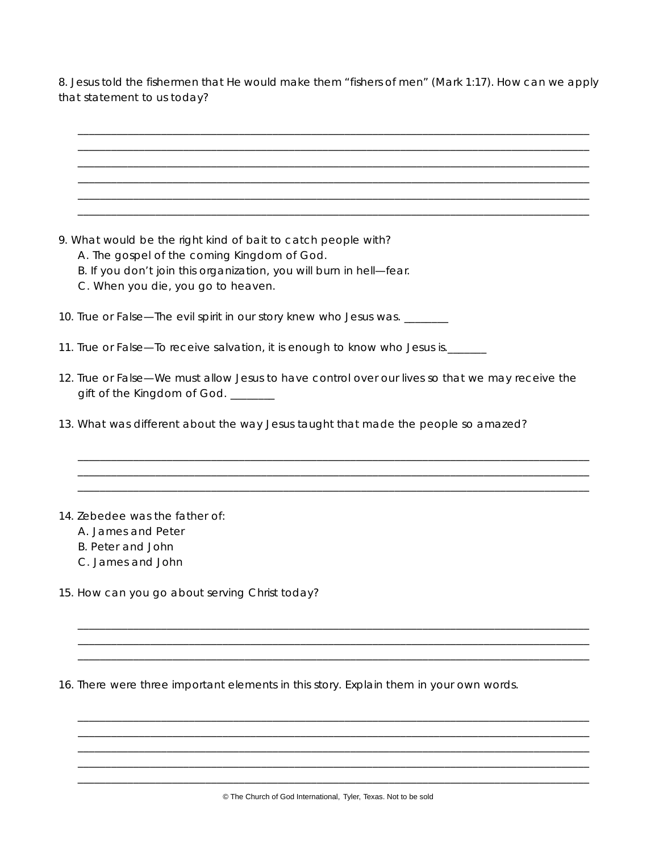8. Jesus told the fishermen that He would make them "fishers of men" (Mark 1:17). How can we apply that statement to us today?

| 9. What would be the right kind of bait to catch people with?<br>A. The gospel of the coming Kingdom of God.                          |
|---------------------------------------------------------------------------------------------------------------------------------------|
| B. If you don't join this organization, you will burn in hell-fear.                                                                   |
| C. When you die, you go to heaven.                                                                                                    |
|                                                                                                                                       |
| 10. True or False-The evil spirit in our story knew who Jesus was. ______                                                             |
| 11. True or False—To receive salvation, it is enough to know who Jesus is.______                                                      |
| 12. True or False—We must allow Jesus to have control over our lives so that we may receive the<br>gift of the Kingdom of God. ______ |
| 13. What was different about the way Jesus taught that made the people so amazed?                                                     |
|                                                                                                                                       |
| 14. Zebedee was the father of:                                                                                                        |
| A. James and Peter                                                                                                                    |
| <b>B. Peter and John</b>                                                                                                              |
| C. James and John                                                                                                                     |
| 15. How can you go about serving Christ today?                                                                                        |
|                                                                                                                                       |
|                                                                                                                                       |
| 16. There were three important elements in this story. Explain them in your own words.                                                |
|                                                                                                                                       |

\_ \_ \_ \_ \_ \_ \_ \_ \_ \_ \_ \_ \_ \_ \_ \_ \_ \_ \_ \_ \_ \_ \_ \_ \_ \_ \_ \_ \_ \_ \_ \_ \_ \_ \_ \_ \_ \_ \_ \_ \_ \_ \_ \_ \_ \_ \_ \_ \_ \_ \_ \_ \_ \_ \_ \_ \_ \_ \_ \_ \_ \_ \_ \_ \_ \_ \_ \_ \_ \_ \_ \_ \_ \_ \_ \_ \_ \_ \_ \_ \_ \_ \_ \_ \_ \_ \_ \_ \_ \_ \_ \_ \_ \_ \_ \_ \_ \_ \_ \_ \_ \_ \_ \_ \_ \_ \_ \_ \_ \_ \_ \_ \_ \_ \_ \_ \_ \_ \_ \_ \_ \_ \_ \_ \_ \_ \_ \_ \_ \_ \_ \_ \_ \_ \_ \_ \_ \_ \_ \_ \_ \_ \_ \_ \_ \_ \_ \_ \_ \_ \_ \_ \_ \_ \_ \_ \_ \_ \_ \_ \_ \_ \_ \_ \_ \_ \_ \_ \_ \_ \_ \_ \_ \_ \_ \_ \_ \_ \_ \_ \_ \_ \_ \_ \_ \_ \_ \_ \_ \_ \_ \_ \_ \_ \_ \_ \_ \_ \_ \_ \_ \_ \_ \_ \_ \_ \_ \_ \_ \_ \_ \_ \_ \_ \_ \_ \_ \_ \_ \_ \_ \_ \_ \_ \_ \_ \_ \_ \_ \_ \_ \_ \_ \_ \_ \_ \_ \_ \_ \_ \_ \_ \_ \_ \_ \_ \_ \_ \_ \_ \_ \_ \_ \_ \_ \_ \_ \_ \_ \_ \_ \_ \_ \_ \_ \_ \_ \_ \_ \_ \_ \_ \_ \_ \_ \_ \_ \_ \_ \_ \_ \_ \_ \_ \_ \_ \_ \_ \_ \_ \_ \_ \_ \_ \_ \_ \_ \_ \_ \_ \_ \_ \_ \_ \_ \_ \_ \_ \_ \_ \_ \_ \_ \_ \_ \_ \_ \_ \_ \_ \_ \_ \_ \_ \_ \_ \_ \_ \_ \_ \_ \_ \_ \_ \_ \_ \_ \_ \_ \_ \_ \_ \_ \_ \_ \_ \_ \_ \_ \_ \_ \_ \_ \_ \_ \_ \_ \_ \_ \_ \_ \_ \_ \_ \_ \_ \_ \_